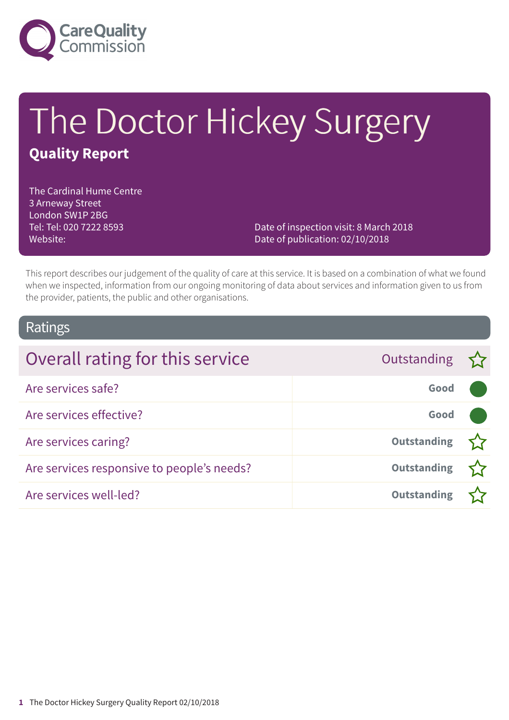

# The Doctor Hickey Surgery **Quality Report**

The Cardinal Hume Centre 3 Arneway Street London SW1P 2BG Tel: Tel: 020 7222 8593 Website:

Date of inspection visit: 8 March 2018 Date of publication: 02/10/2018

This report describes our judgement of the quality of care at this service. It is based on a combination of what we found when we inspected, information from our ongoing monitoring of data about services and information given to us from the provider, patients, the public and other organisations.

## Ratings

| Overall rating for this service            | Outstanding        |  |
|--------------------------------------------|--------------------|--|
| Are services safe?                         | Good               |  |
| Are services effective?                    | Good               |  |
| Are services caring?                       | <b>Outstanding</b> |  |
| Are services responsive to people's needs? | <b>Outstanding</b> |  |
| Are services well-led?                     | <b>Outstanding</b> |  |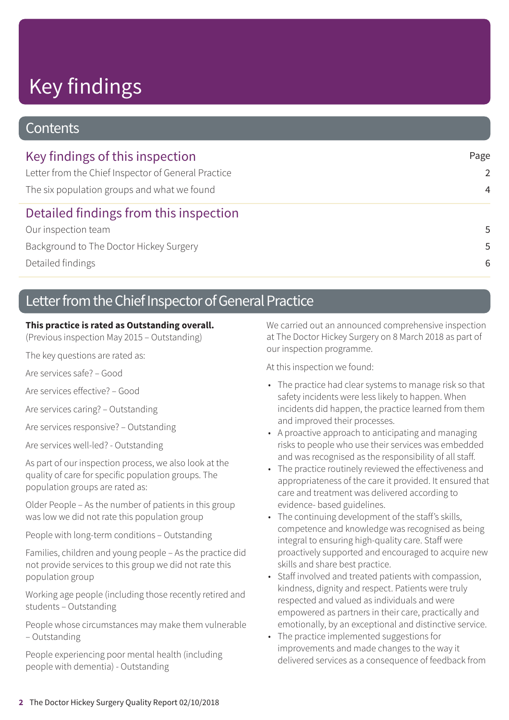# Key findings

## **Contents**

| Key findings of this inspection                     | Page           |
|-----------------------------------------------------|----------------|
| Letter from the Chief Inspector of General Practice | 2              |
| The six population groups and what we found         | $\overline{4}$ |
| Detailed findings from this inspection              |                |
| Our inspection team                                 | .5             |
| Background to The Doctor Hickey Surgery             | .5             |
| Detailed findings                                   | 6              |

## Letter from the Chief Inspector of General Practice

### **This practice is rated as Outstanding overall.**

(Previous inspection May 2015 – Outstanding)

The key questions are rated as:

Are services safe? – Good

Are services effective? – Good

Are services caring? – Outstanding

Are services responsive? – Outstanding

Are services well-led? - Outstanding

As part of our inspection process, we also look at the quality of care for specific population groups. The population groups are rated as:

Older People – As the number of patients in this group was low we did not rate this population group

People with long-term conditions – Outstanding

Families, children and young people – As the practice did not provide services to this group we did not rate this population group

Working age people (including those recently retired and students – Outstanding

People whose circumstances may make them vulnerable – Outstanding

People experiencing poor mental health (including people with dementia) - Outstanding

We carried out an announced comprehensive inspection at The Doctor Hickey Surgery on 8 March 2018 as part of our inspection programme.

At this inspection we found:

- The practice had clear systems to manage risk so that safety incidents were less likely to happen. When incidents did happen, the practice learned from them and improved their processes.
- A proactive approach to anticipating and managing risks to people who use their services was embedded and was recognised as the responsibility of all staff.
- The practice routinely reviewed the effectiveness and appropriateness of the care it provided. It ensured that care and treatment was delivered according to evidence- based guidelines.
- The continuing development of the staff's skills, competence and knowledge was recognised as being integral to ensuring high-quality care. Staff were proactively supported and encouraged to acquire new skills and share best practice.
- Staff involved and treated patients with compassion, kindness, dignity and respect. Patients were truly respected and valued as individuals and were empowered as partners in their care, practically and emotionally, by an exceptional and distinctive service.
- The practice implemented suggestions for improvements and made changes to the way it delivered services as a consequence of feedback from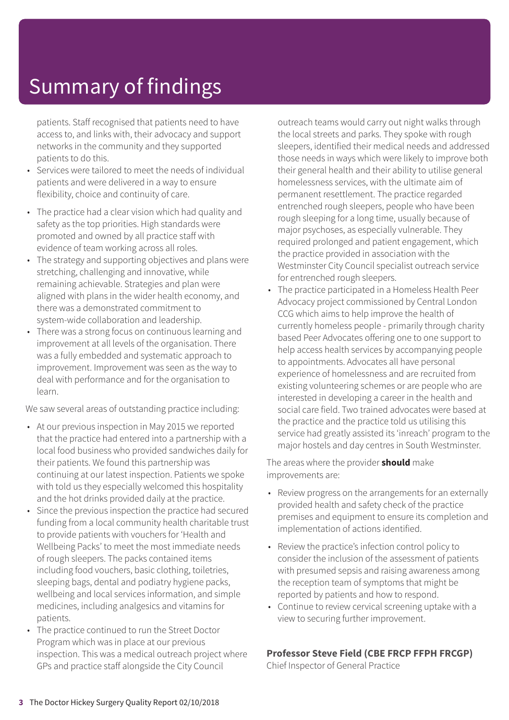# Summary of findings

patients. Staff recognised that patients need to have access to, and links with, their advocacy and support networks in the community and they supported patients to do this.

- Services were tailored to meet the needs of individual patients and were delivered in a way to ensure flexibility, choice and continuity of care.
- The practice had a clear vision which had quality and safety as the top priorities. High standards were promoted and owned by all practice staff with evidence of team working across all roles.
- The strategy and supporting objectives and plans were stretching, challenging and innovative, while remaining achievable. Strategies and plan were aligned with plans in the wider health economy, and there was a demonstrated commitment to system-wide collaboration and leadership.
- There was a strong focus on continuous learning and improvement at all levels of the organisation. There was a fully embedded and systematic approach to improvement. Improvement was seen as the way to deal with performance and for the organisation to learn.

We saw several areas of outstanding practice including:

- At our previous inspection in May 2015 we reported that the practice had entered into a partnership with a local food business who provided sandwiches daily for their patients. We found this partnership was continuing at our latest inspection. Patients we spoke with told us they especially welcomed this hospitality and the hot drinks provided daily at the practice.
- Since the previous inspection the practice had secured funding from a local community health charitable trust to provide patients with vouchers for 'Health and Wellbeing Packs' to meet the most immediate needs of rough sleepers. The packs contained items including food vouchers, basic clothing, toiletries, sleeping bags, dental and podiatry hygiene packs, wellbeing and local services information, and simple medicines, including analgesics and vitamins for patients.
- The practice continued to run the Street Doctor Program which was in place at our previous inspection. This was a medical outreach project where GPs and practice staff alongside the City Council

outreach teams would carry out night walks through the local streets and parks. They spoke with rough sleepers, identified their medical needs and addressed those needs in ways which were likely to improve both their general health and their ability to utilise general homelessness services, with the ultimate aim of permanent resettlement. The practice regarded entrenched rough sleepers, people who have been rough sleeping for a long time, usually because of major psychoses, as especially vulnerable. They required prolonged and patient engagement, which the practice provided in association with the Westminster City Council specialist outreach service for entrenched rough sleepers.

• The practice participated in a Homeless Health Peer Advocacy project commissioned by Central London CCG which aims to help improve the health of currently homeless people - primarily through charity based Peer Advocates offering one to one support to help access health services by accompanying people to appointments. Advocates all have personal experience of homelessness and are recruited from existing volunteering schemes or are people who are interested in developing a career in the health and social care field. Two trained advocates were based at the practice and the practice told us utilising this service had greatly assisted its 'inreach' program to the major hostels and day centres in South Westminster.

The areas where the provider **should** make improvements are:

- Review progress on the arrangements for an externally provided health and safety check of the practice premises and equipment to ensure its completion and implementation of actions identified.
- Review the practice's infection control policy to consider the inclusion of the assessment of patients with presumed sepsis and raising awareness among the reception team of symptoms that might be reported by patients and how to respond.
- Continue to review cervical screening uptake with a view to securing further improvement.

### **Professor Steve Field (CBE FRCP FFPH FRCGP)**

Chief Inspector of General Practice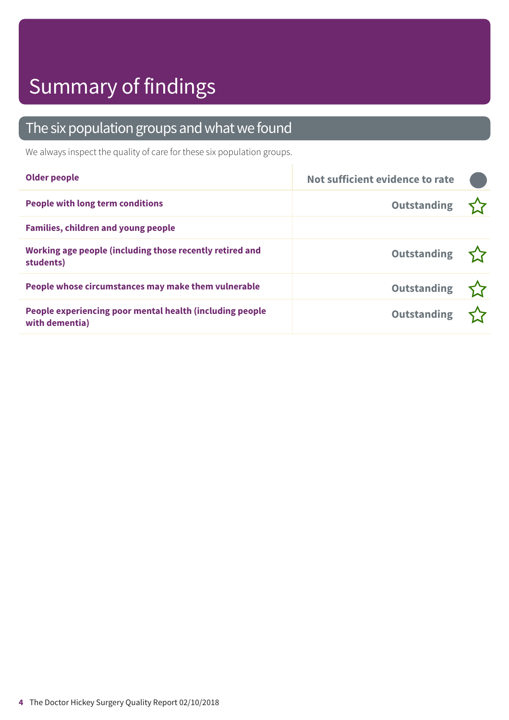# Summary of findings

## The six population groups and what we found

We always inspect the quality of care for these six population groups.

| <b>Older people</b>                                                        | Not sufficient evidence to rate |  |
|----------------------------------------------------------------------------|---------------------------------|--|
| <b>People with long term conditions</b>                                    | Outstanding                     |  |
| <b>Families, children and young people</b>                                 |                                 |  |
| Working age people (including those recently retired and<br>students)      | Outstanding $\sum$              |  |
| People whose circumstances may make them vulnerable                        | Outstanding $\sum$              |  |
| People experiencing poor mental health (including people<br>with dementia) | Outstanding 27                  |  |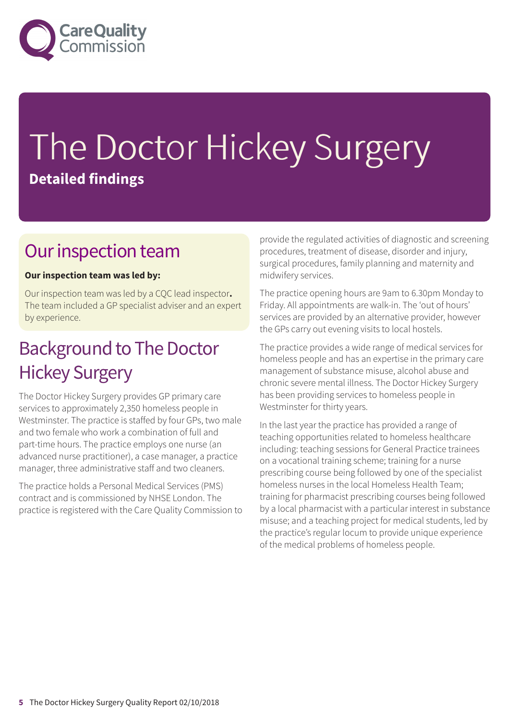

# The Doctor Hickey Surgery **Detailed findings**

## Our inspection team

## **Our inspection team was led by:**

Our inspection team was led by a CQC lead inspector**.** The team included a GP specialist adviser and an expert by experience.

## **Background to The Doctor** Hickey Surgery

The Doctor Hickey Surgery provides GP primary care services to approximately 2,350 homeless people in Westminster. The practice is staffed by four GPs, two male and two female who work a combination of full and part-time hours. The practice employs one nurse (an advanced nurse practitioner), a case manager, a practice manager, three administrative staff and two cleaners.

The practice holds a Personal Medical Services (PMS) contract and is commissioned by NHSE London. The practice is registered with the Care Quality Commission to provide the regulated activities of diagnostic and screening procedures, treatment of disease, disorder and injury, surgical procedures, family planning and maternity and midwifery services.

The practice opening hours are 9am to 6.30pm Monday to Friday. All appointments are walk-in. The 'out of hours' services are provided by an alternative provider, however the GPs carry out evening visits to local hostels.

The practice provides a wide range of medical services for homeless people and has an expertise in the primary care management of substance misuse, alcohol abuse and chronic severe mental illness. The Doctor Hickey Surgery has been providing services to homeless people in Westminster for thirty years.

In the last year the practice has provided a range of teaching opportunities related to homeless healthcare including: teaching sessions for General Practice trainees on a vocational training scheme; training for a nurse prescribing course being followed by one of the specialist homeless nurses in the local Homeless Health Team; training for pharmacist prescribing courses being followed by a local pharmacist with a particular interest in substance misuse; and a teaching project for medical students, led by the practice's regular locum to provide unique experience of the medical problems of homeless people.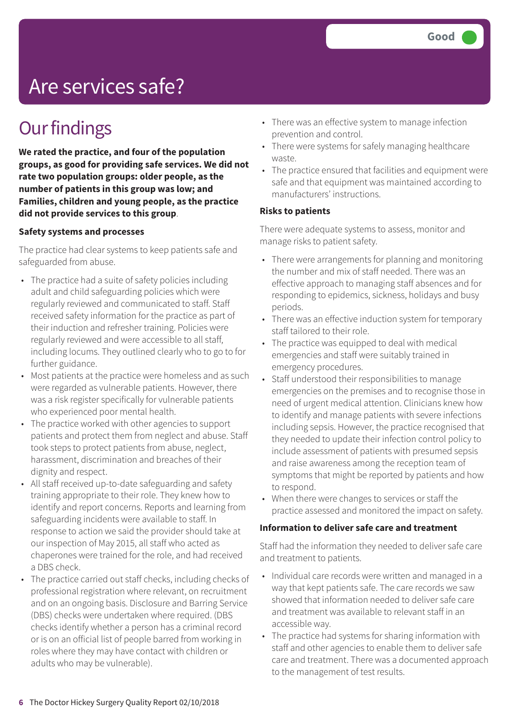# Are services safe?

## **Our findings**

**We rated the practice, and four of the population groups, as good for providing safe services. We did not rate two population groups: older people, as the number of patients in this group was low; and Families, children and young people, as the practice did not provide services to this group**.

#### **Safety systems and processes**

The practice had clear systems to keep patients safe and safeguarded from abuse.

- The practice had a suite of safety policies including adult and child safeguarding policies which were regularly reviewed and communicated to staff. Staff received safety information for the practice as part of their induction and refresher training. Policies were regularly reviewed and were accessible to all staff, including locums. They outlined clearly who to go to for further guidance.
- Most patients at the practice were homeless and as such were regarded as vulnerable patients. However, there was a risk register specifically for vulnerable patients who experienced poor mental health.
- The practice worked with other agencies to support patients and protect them from neglect and abuse. Staff took steps to protect patients from abuse, neglect, harassment, discrimination and breaches of their dignity and respect.
- All staff received up-to-date safeguarding and safety training appropriate to their role. They knew how to identify and report concerns. Reports and learning from safeguarding incidents were available to staff. In response to action we said the provider should take at our inspection of May 2015, all staff who acted as chaperones were trained for the role, and had received a DBS check.
- The practice carried out staff checks, including checks of professional registration where relevant, on recruitment and on an ongoing basis. Disclosure and Barring Service (DBS) checks were undertaken where required. (DBS checks identify whether a person has a criminal record or is on an official list of people barred from working in roles where they may have contact with children or adults who may be vulnerable).
- There was an effective system to manage infection prevention and control.
- There were systems for safely managing healthcare waste.
- The practice ensured that facilities and equipment were safe and that equipment was maintained according to manufacturers' instructions.

#### **Risks to patients**

There were adequate systems to assess, monitor and manage risks to patient safety.

- There were arrangements for planning and monitoring the number and mix of staff needed. There was an effective approach to managing staff absences and for responding to epidemics, sickness, holidays and busy periods.
- There was an effective induction system for temporary staff tailored to their role.
- The practice was equipped to deal with medical emergencies and staff were suitably trained in emergency procedures.
- Staff understood their responsibilities to manage emergencies on the premises and to recognise those in need of urgent medical attention. Clinicians knew how to identify and manage patients with severe infections including sepsis. However, the practice recognised that they needed to update their infection control policy to include assessment of patients with presumed sepsis and raise awareness among the reception team of symptoms that might be reported by patients and how to respond.
- When there were changes to services or staff the practice assessed and monitored the impact on safety.

#### **Information to deliver safe care and treatment**

Staff had the information they needed to deliver safe care and treatment to patients.

- Individual care records were written and managed in a way that kept patients safe. The care records we saw showed that information needed to deliver safe care and treatment was available to relevant staff in an accessible way.
- The practice had systems for sharing information with staff and other agencies to enable them to deliver safe care and treatment. There was a documented approach to the management of test results.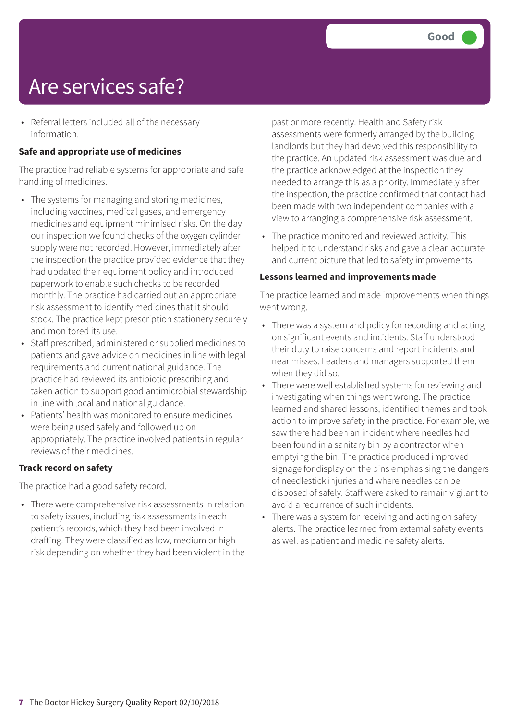# Are services safe?

• Referral letters included all of the necessary information.

## **Safe and appropriate use of medicines**

The practice had reliable systems for appropriate and safe handling of medicines.

- The systems for managing and storing medicines, including vaccines, medical gases, and emergency medicines and equipment minimised risks. On the day our inspection we found checks of the oxygen cylinder supply were not recorded. However, immediately after the inspection the practice provided evidence that they had updated their equipment policy and introduced paperwork to enable such checks to be recorded monthly. The practice had carried out an appropriate risk assessment to identify medicines that it should stock. The practice kept prescription stationery securely and monitored its use.
- Staff prescribed, administered or supplied medicines to patients and gave advice on medicines in line with legal requirements and current national guidance. The practice had reviewed its antibiotic prescribing and taken action to support good antimicrobial stewardship in line with local and national guidance.
- Patients' health was monitored to ensure medicines were being used safely and followed up on appropriately. The practice involved patients in regular reviews of their medicines.

### **Track record on safety**

The practice had a good safety record.

• There were comprehensive risk assessments in relation to safety issues, including risk assessments in each patient's records, which they had been involved in drafting. They were classified as low, medium or high risk depending on whether they had been violent in the past or more recently. Health and Safety risk assessments were formerly arranged by the building landlords but they had devolved this responsibility to the practice. An updated risk assessment was due and the practice acknowledged at the inspection they needed to arrange this as a priority. Immediately after the inspection, the practice confirmed that contact had been made with two independent companies with a view to arranging a comprehensive risk assessment.

• The practice monitored and reviewed activity. This helped it to understand risks and gave a clear, accurate and current picture that led to safety improvements.

### **Lessons learned and improvements made**

The practice learned and made improvements when things went wrong.

- There was a system and policy for recording and acting on significant events and incidents. Staff understood their duty to raise concerns and report incidents and near misses. Leaders and managers supported them when they did so.
- There were well established systems for reviewing and investigating when things went wrong. The practice learned and shared lessons, identified themes and took action to improve safety in the practice. For example, we saw there had been an incident where needles had been found in a sanitary bin by a contractor when emptying the bin. The practice produced improved signage for display on the bins emphasising the dangers of needlestick injuries and where needles can be disposed of safely. Staff were asked to remain vigilant to avoid a recurrence of such incidents.
- There was a system for receiving and acting on safety alerts. The practice learned from external safety events as well as patient and medicine safety alerts.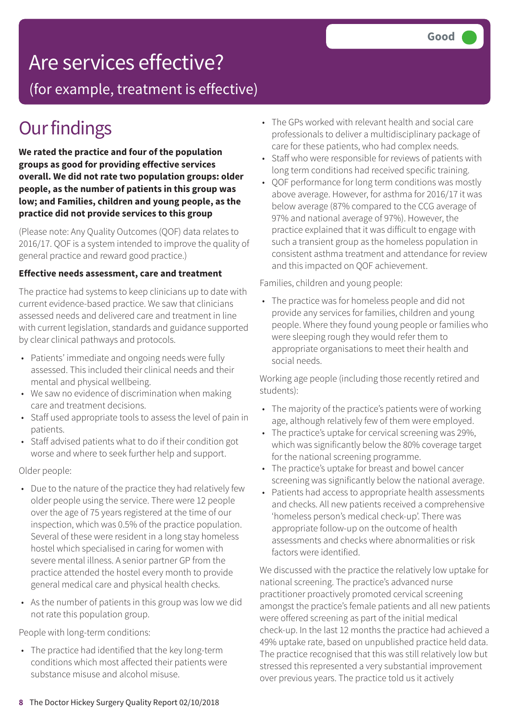(for example, treatment is effective)

# **Our findings**

**We rated the practice and four of the population groups as good for providing effective services overall. We did not rate two population groups: older people, as the number of patients in this group was low; and Families, children and young people, as the practice did not provide services to this group**

(Please note: Any Quality Outcomes (QOF) data relates to 2016/17. QOF is a system intended to improve the quality of general practice and reward good practice.)

### **Effective needs assessment, care and treatment**

The practice had systems to keep clinicians up to date with current evidence-based practice. We saw that clinicians assessed needs and delivered care and treatment in line with current legislation, standards and guidance supported by clear clinical pathways and protocols.

- Patients' immediate and ongoing needs were fully assessed. This included their clinical needs and their mental and physical wellbeing.
- We saw no evidence of discrimination when making care and treatment decisions.
- Staff used appropriate tools to assess the level of pain in patients.
- Staff advised patients what to do if their condition got worse and where to seek further help and support.

Older people:

- Due to the nature of the practice they had relatively few older people using the service. There were 12 people over the age of 75 years registered at the time of our inspection, which was 0.5% of the practice population. Several of these were resident in a long stay homeless hostel which specialised in caring for women with severe mental illness. A senior partner GP from the practice attended the hostel every month to provide general medical care and physical health checks.
- As the number of patients in this group was low we did not rate this population group.

People with long-term conditions:

• The practice had identified that the key long-term conditions which most affected their patients were substance misuse and alcohol misuse.

- The GPs worked with relevant health and social care professionals to deliver a multidisciplinary package of care for these patients, who had complex needs.
- Staff who were responsible for reviews of patients with long term conditions had received specific training.
- QOF performance for long term conditions was mostly above average. However, for asthma for 2016/17 it was below average (87% compared to the CCG average of 97% and national average of 97%). However, the practice explained that it was difficult to engage with such a transient group as the homeless population in consistent asthma treatment and attendance for review and this impacted on QOF achievement.

Families, children and young people:

• The practice was for homeless people and did not provide any services for families, children and young people. Where they found young people or families who were sleeping rough they would refer them to appropriate organisations to meet their health and social needs.

Working age people (including those recently retired and students):

- The majority of the practice's patients were of working age, although relatively few of them were employed.
- The practice's uptake for cervical screening was 29%, which was significantly below the 80% coverage target for the national screening programme.
- The practice's uptake for breast and bowel cancer screening was significantly below the national average.
- Patients had access to appropriate health assessments and checks. All new patients received a comprehensive 'homeless person's medical check-up'. There was appropriate follow-up on the outcome of health assessments and checks where abnormalities or risk factors were identified.

We discussed with the practice the relatively low uptake for national screening. The practice's advanced nurse practitioner proactively promoted cervical screening amongst the practice's female patients and all new patients were offered screening as part of the initial medical check-up. In the last 12 months the practice had achieved a 49% uptake rate, based on unpublished practice held data. The practice recognised that this was still relatively low but stressed this represented a very substantial improvement over previous years. The practice told us it actively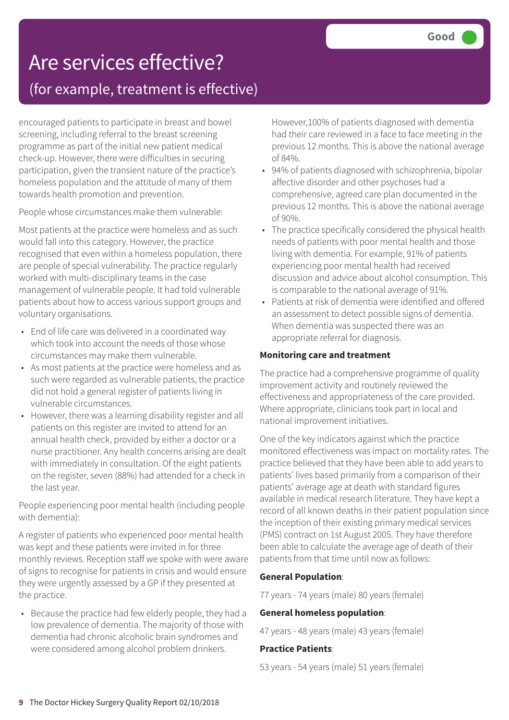## (for example, treatment is effective)

encouraged patients to participate in breast and bowel screening, including referral to the breast screening programme as part of the initial new patient medical check-up. However, there were difficulties in securing participation, given the transient nature of the practice's homeless population and the attitude of many of them towards health promotion and prevention.

People whose circumstances make them vulnerable:

Most patients at the practice were homeless and as such would fall into this category. However, the practice recognised that even within a homeless population, there are people of special vulnerability. The practice regularly worked with multi-disciplinary teams in the case management of vulnerable people. It had told vulnerable patients about how to access various support groups and voluntary organisations.

- End of life care was delivered in a coordinated way which took into account the needs of those whose circumstances may make them vulnerable.
- As most patients at the practice were homeless and as such were regarded as vulnerable patients, the practice did not hold a general register of patients living in vulnerable circumstances.
- However, there was a learning disability register and all patients on this register are invited to attend for an annual health check, provided by either a doctor or a nurse practitioner. Any health concerns arising are dealt with immediately in consultation. Of the eight patients on the register, seven (88%) had attended for a check in the last year.

People experiencing poor mental health (including people with dementia):

A register of patients who experienced poor mental health was kept and these patients were invited in for three monthly reviews. Reception staff we spoke with were aware of signs to recognise for patients in crisis and would ensure they were urgently assessed by a GP if they presented at the practice.

• Because the practice had few elderly people, they had a low prevalence of dementia. The majority of those with dementia had chronic alcoholic brain syndromes and were considered among alcohol problem drinkers.

However,100% of patients diagnosed with dementia had their care reviewed in a face to face meeting in the previous 12 months. This is above the national average of 84%.

- 94% of patients diagnosed with schizophrenia, bipolar affective disorder and other psychoses had a comprehensive, agreed care plan documented in the previous 12 months. This is above the national average of 90%.
- The practice specifically considered the physical health needs of patients with poor mental health and those living with dementia. For example, 91% of patients experiencing poor mental health had received discussion and advice about alcohol consumption. This is comparable to the national average of 91%.
- Patients at risk of dementia were identified and offered an assessment to detect possible signs of dementia. When dementia was suspected there was an appropriate referral for diagnosis.

## **Monitoring care and treatment**

The practice had a comprehensive programme of quality improvement activity and routinely reviewed the effectiveness and appropriateness of the care provided. Where appropriate, clinicians took part in local and national improvement initiatives.

One of the key indicators against which the practice monitored effectiveness was impact on mortality rates. The practice believed that they have been able to add years to patients' lives based primarily from a comparison of their patients' average age at death with standard figures available in medical research literature. They have kept a record of all known deaths in their patient population since the inception of their existing primary medical services (PMS) contract on 1st August 2005. They have therefore been able to calculate the average age of death of their patients from that time until now as follows:

### **General Population**:

77 years - 74 years (male) 80 years (female)

#### **General homeless population**:

47 years - 48 years (male) 43 years (female)

#### **Practice Patients**:

53 years - 54 years (male) 51 years (female)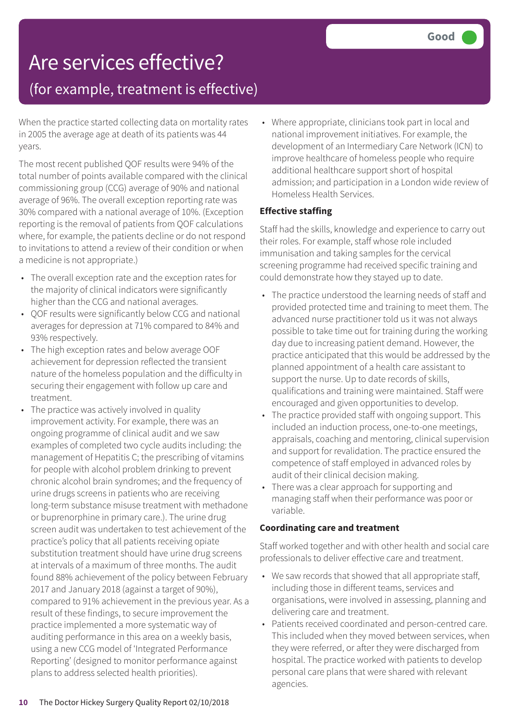## (for example, treatment is effective)

When the practice started collecting data on mortality rates in 2005 the average age at death of its patients was 44 years.

The most recent published QOF results were 94% of the total number of points available compared with the clinical commissioning group (CCG) average of 90% and national average of 96%. The overall exception reporting rate was 30% compared with a national average of 10%. (Exception reporting is the removal of patients from QOF calculations where, for example, the patients decline or do not respond to invitations to attend a review of their condition or when a medicine is not appropriate.)

- The overall exception rate and the exception rates for the majority of clinical indicators were significantly higher than the CCG and national averages.
- QOF results were significantly below CCG and national averages for depression at 71% compared to 84% and 93% respectively.
- The high exception rates and below average OOF achievement for depression reflected the transient nature of the homeless population and the difficulty in securing their engagement with follow up care and treatment.
- The practice was actively involved in quality improvement activity. For example, there was an ongoing programme of clinical audit and we saw examples of completed two cycle audits including: the management of Hepatitis C; the prescribing of vitamins for people with alcohol problem drinking to prevent chronic alcohol brain syndromes; and the frequency of urine drugs screens in patients who are receiving long-term substance misuse treatment with methadone or buprenorphine in primary care.). The urine drug screen audit was undertaken to test achievement of the practice's policy that all patients receiving opiate substitution treatment should have urine drug screens at intervals of a maximum of three months. The audit found 88% achievement of the policy between February 2017 and January 2018 (against a target of 90%), compared to 91% achievement in the previous year. As a result of these findings, to secure improvement the practice implemented a more systematic way of auditing performance in this area on a weekly basis, using a new CCG model of 'Integrated Performance Reporting' (designed to monitor performance against plans to address selected health priorities).

• Where appropriate, clinicians took part in local and national improvement initiatives. For example, the development of an Intermediary Care Network (ICN) to improve healthcare of homeless people who require additional healthcare support short of hospital admission; and participation in a London wide review of Homeless Health Services.

## **Effective staffing**

Staff had the skills, knowledge and experience to carry out their roles. For example, staff whose role included immunisation and taking samples for the cervical screening programme had received specific training and could demonstrate how they stayed up to date.

- The practice understood the learning needs of staff and provided protected time and training to meet them. The advanced nurse practitioner told us it was not always possible to take time out for training during the working day due to increasing patient demand. However, the practice anticipated that this would be addressed by the planned appointment of a health care assistant to support the nurse. Up to date records of skills, qualifications and training were maintained. Staff were encouraged and given opportunities to develop.
- The practice provided staff with ongoing support. This included an induction process, one-to-one meetings, appraisals, coaching and mentoring, clinical supervision and support for revalidation. The practice ensured the competence of staff employed in advanced roles by audit of their clinical decision making.
- There was a clear approach for supporting and managing staff when their performance was poor or variable.

## **Coordinating care and treatment**

Staff worked together and with other health and social care professionals to deliver effective care and treatment.

- We saw records that showed that all appropriate staff, including those in different teams, services and organisations, were involved in assessing, planning and delivering care and treatment.
- Patients received coordinated and person-centred care. This included when they moved between services, when they were referred, or after they were discharged from hospital. The practice worked with patients to develop personal care plans that were shared with relevant agencies.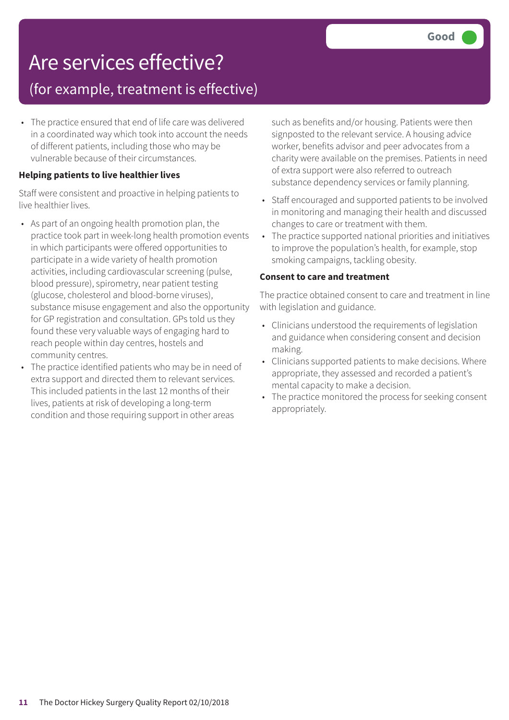## (for example, treatment is effective)

• The practice ensured that end of life care was delivered in a coordinated way which took into account the needs of different patients, including those who may be vulnerable because of their circumstances.

## **Helping patients to live healthier lives**

Staff were consistent and proactive in helping patients to live healthier lives.

- As part of an ongoing health promotion plan, the practice took part in week-long health promotion events in which participants were offered opportunities to participate in a wide variety of health promotion activities, including cardiovascular screening (pulse, blood pressure), spirometry, near patient testing (glucose, cholesterol and blood-borne viruses), substance misuse engagement and also the opportunity for GP registration and consultation. GPs told us they found these very valuable ways of engaging hard to reach people within day centres, hostels and community centres.
- The practice identified patients who may be in need of extra support and directed them to relevant services. This included patients in the last 12 months of their lives, patients at risk of developing a long-term condition and those requiring support in other areas

such as benefits and/or housing. Patients were then signposted to the relevant service. A housing advice worker, benefits advisor and peer advocates from a charity were available on the premises. Patients in need of extra support were also referred to outreach substance dependency services or family planning.

- Staff encouraged and supported patients to be involved in monitoring and managing their health and discussed changes to care or treatment with them.
- The practice supported national priorities and initiatives to improve the population's health, for example, stop smoking campaigns, tackling obesity.

## **Consent to care and treatment**

The practice obtained consent to care and treatment in line with legislation and guidance.

- Clinicians understood the requirements of legislation and guidance when considering consent and decision making.
- Clinicians supported patients to make decisions. Where appropriate, they assessed and recorded a patient's mental capacity to make a decision.
- The practice monitored the process for seeking consent appropriately.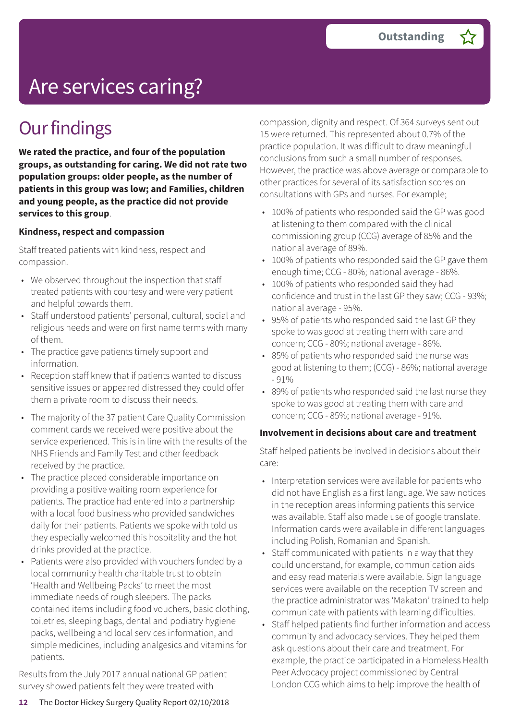# Are services caring?

## **Our findings**

**We rated the practice, and four of the population groups, as outstanding for caring. We did not rate two population groups: older people, as the number of patients in this group was low; and Families, children and young people, as the practice did not provide services to this group**.

### **Kindness, respect and compassion**

Staff treated patients with kindness, respect and compassion.

- We observed throughout the inspection that staff treated patients with courtesy and were very patient and helpful towards them.
- Staff understood patients' personal, cultural, social and religious needs and were on first name terms with many of them.
- The practice gave patients timely support and information.
- Reception staff knew that if patients wanted to discuss sensitive issues or appeared distressed they could offer them a private room to discuss their needs.
- The majority of the 37 patient Care Quality Commission comment cards we received were positive about the service experienced. This is in line with the results of the NHS Friends and Family Test and other feedback received by the practice.
- The practice placed considerable importance on providing a positive waiting room experience for patients. The practice had entered into a partnership with a local food business who provided sandwiches daily for their patients. Patients we spoke with told us they especially welcomed this hospitality and the hot drinks provided at the practice.
- Patients were also provided with vouchers funded by a local community health charitable trust to obtain 'Health and Wellbeing Packs' to meet the most immediate needs of rough sleepers. The packs contained items including food vouchers, basic clothing, toiletries, sleeping bags, dental and podiatry hygiene packs, wellbeing and local services information, and simple medicines, including analgesics and vitamins for patients.

Results from the July 2017 annual national GP patient survey showed patients felt they were treated with

compassion, dignity and respect. Of 364 surveys sent out 15 were returned. This represented about 0.7% of the practice population. It was difficult to draw meaningful conclusions from such a small number of responses. However, the practice was above average or comparable to other practices for several of its satisfaction scores on consultations with GPs and nurses. For example;

- 100% of patients who responded said the GP was good at listening to them compared with the clinical commissioning group (CCG) average of 85% and the national average of 89%.
- 100% of patients who responded said the GP gave them enough time; CCG - 80%; national average - 86%.
- 100% of patients who responded said they had confidence and trust in the last GP they saw; CCG - 93%; national average - 95%.
- 95% of patients who responded said the last GP they spoke to was good at treating them with care and concern; CCG - 80%; national average - 86%.
- 85% of patients who responded said the nurse was good at listening to them; (CCG) - 86%; national average - 91%
- 89% of patients who responded said the last nurse they spoke to was good at treating them with care and concern; CCG - 85%; national average - 91%.

#### **Involvement in decisions about care and treatment**

Staff helped patients be involved in decisions about their care:

- Interpretation services were available for patients who did not have English as a first language. We saw notices in the reception areas informing patients this service was available. Staff also made use of google translate. Information cards were available in different languages including Polish, Romanian and Spanish.
- Staff communicated with patients in a way that they could understand, for example, communication aids and easy read materials were available. Sign language services were available on the reception TV screen and the practice administrator was 'Makaton' trained to help communicate with patients with learning difficulties.
- Staff helped patients find further information and access community and advocacy services. They helped them ask questions about their care and treatment. For example, the practice participated in a Homeless Health Peer Advocacy project commissioned by Central London CCG which aims to help improve the health of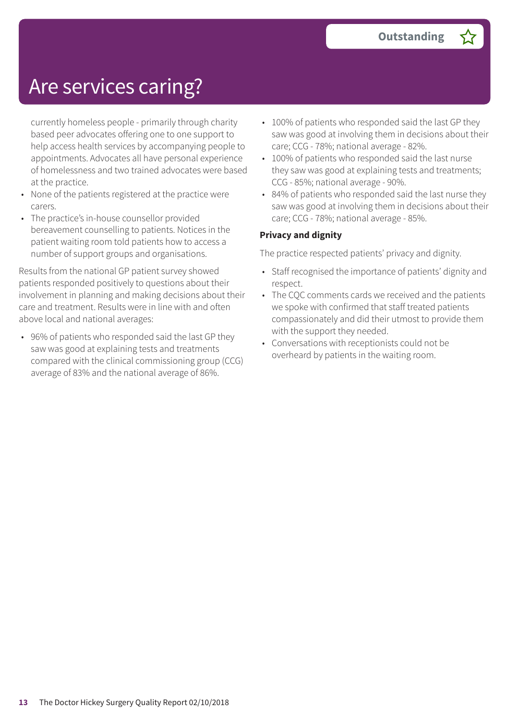# Are services caring?

currently homeless people - primarily through charity based peer advocates offering one to one support to help access health services by accompanying people to appointments. Advocates all have personal experience of homelessness and two trained advocates were based at the practice.

- None of the patients registered at the practice were carers.
- The practice's in-house counsellor provided bereavement counselling to patients. Notices in the patient waiting room told patients how to access a number of support groups and organisations.

Results from the national GP patient survey showed patients responded positively to questions about their involvement in planning and making decisions about their care and treatment. Results were in line with and often above local and national averages:

• 96% of patients who responded said the last GP they saw was good at explaining tests and treatments compared with the clinical commissioning group (CCG) average of 83% and the national average of 86%.

- 100% of patients who responded said the last GP they saw was good at involving them in decisions about their care; CCG - 78%; national average - 82%.
- 100% of patients who responded said the last nurse they saw was good at explaining tests and treatments; CCG - 85%; national average - 90%.
- 84% of patients who responded said the last nurse they saw was good at involving them in decisions about their care; CCG - 78%; national average - 85%.

## **Privacy and dignity**

The practice respected patients' privacy and dignity.

- Staff recognised the importance of patients' dignity and respect.
- The CQC comments cards we received and the patients we spoke with confirmed that staff treated patients compassionately and did their utmost to provide them with the support they needed.
- Conversations with receptionists could not be overheard by patients in the waiting room.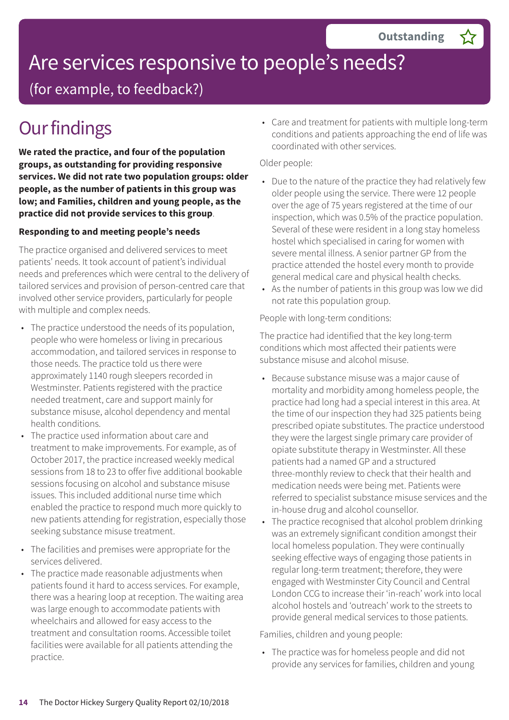# Are services responsive to people's needs?

(for example, to feedback?)

# **Our findings**

**We rated the practice, and four of the population groups, as outstanding for providing responsive services. We did not rate two population groups: older people, as the number of patients in this group was low; and Families, children and young people, as the practice did not provide services to this group**.

## **Responding to and meeting people's needs**

The practice organised and delivered services to meet patients' needs. It took account of patient's individual needs and preferences which were central to the delivery of tailored services and provision of person-centred care that involved other service providers, particularly for people with multiple and complex needs.

- The practice understood the needs of its population, people who were homeless or living in precarious accommodation, and tailored services in response to those needs. The practice told us there were approximately 1140 rough sleepers recorded in Westminster. Patients registered with the practice needed treatment, care and support mainly for substance misuse, alcohol dependency and mental health conditions.
- The practice used information about care and treatment to make improvements. For example, as of October 2017, the practice increased weekly medical sessions from 18 to 23 to offer five additional bookable sessions focusing on alcohol and substance misuse issues. This included additional nurse time which enabled the practice to respond much more quickly to new patients attending for registration, especially those seeking substance misuse treatment.
- The facilities and premises were appropriate for the services delivered.
- The practice made reasonable adjustments when patients found it hard to access services. For example, there was a hearing loop at reception. The waiting area was large enough to accommodate patients with wheelchairs and allowed for easy access to the treatment and consultation rooms. Accessible toilet facilities were available for all patients attending the practice.

• Care and treatment for patients with multiple long-term conditions and patients approaching the end of life was coordinated with other services.

## Older people:

- Due to the nature of the practice they had relatively few older people using the service. There were 12 people over the age of 75 years registered at the time of our inspection, which was 0.5% of the practice population. Several of these were resident in a long stay homeless hostel which specialised in caring for women with severe mental illness. A senior partner GP from the practice attended the hostel every month to provide general medical care and physical health checks.
- As the number of patients in this group was low we did not rate this population group.

People with long-term conditions:

The practice had identified that the key long-term conditions which most affected their patients were substance misuse and alcohol misuse.

- Because substance misuse was a major cause of mortality and morbidity among homeless people, the practice had long had a special interest in this area. At the time of our inspection they had 325 patients being prescribed opiate substitutes. The practice understood they were the largest single primary care provider of opiate substitute therapy in Westminster. All these patients had a named GP and a structured three-monthly review to check that their health and medication needs were being met. Patients were referred to specialist substance misuse services and the in-house drug and alcohol counsellor.
- The practice recognised that alcohol problem drinking was an extremely significant condition amongst their local homeless population. They were continually seeking effective ways of engaging those patients in regular long-term treatment; therefore, they were engaged with Westminster City Council and Central London CCG to increase their 'in-reach' work into local alcohol hostels and 'outreach' work to the streets to provide general medical services to those patients.

Families, children and young people:

• The practice was for homeless people and did not provide any services for families, children and young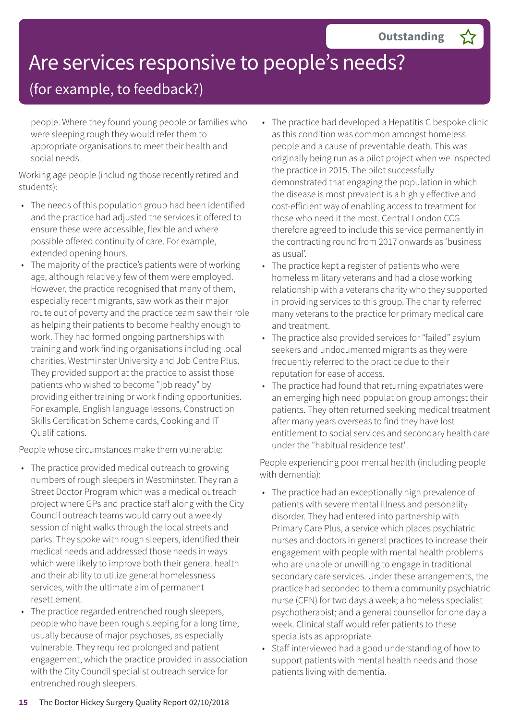# Are services responsive to people's needs?

## (for example, to feedback?)

people. Where they found young people or families who were sleeping rough they would refer them to appropriate organisations to meet their health and social needs.

Working age people (including those recently retired and students):

- The needs of this population group had been identified and the practice had adjusted the services it offered to ensure these were accessible, flexible and where possible offered continuity of care. For example, extended opening hours.
- The majority of the practice's patients were of working age, although relatively few of them were employed. However, the practice recognised that many of them, especially recent migrants, saw work as their major route out of poverty and the practice team saw their role as helping their patients to become healthy enough to work. They had formed ongoing partnerships with training and work finding organisations including local charities, Westminster University and Job Centre Plus. They provided support at the practice to assist those patients who wished to become "job ready" by providing either training or work finding opportunities. For example, English language lessons, Construction Skills Certification Scheme cards, Cooking and IT Qualifications.

People whose circumstances make them vulnerable:

- The practice provided medical outreach to growing numbers of rough sleepers in Westminster. They ran a Street Doctor Program which was a medical outreach project where GPs and practice staff along with the City Council outreach teams would carry out a weekly session of night walks through the local streets and parks. They spoke with rough sleepers, identified their medical needs and addressed those needs in ways which were likely to improve both their general health and their ability to utilize general homelessness services, with the ultimate aim of permanent resettlement.
- The practice regarded entrenched rough sleepers, people who have been rough sleeping for a long time, usually because of major psychoses, as especially vulnerable. They required prolonged and patient engagement, which the practice provided in association with the City Council specialist outreach service for entrenched rough sleepers.
- The practice had developed a Hepatitis C bespoke clinic as this condition was common amongst homeless people and a cause of preventable death. This was originally being run as a pilot project when we inspected the practice in 2015. The pilot successfully demonstrated that engaging the population in which the disease is most prevalent is a highly effective and cost-efficient way of enabling access to treatment for those who need it the most. Central London CCG therefore agreed to include this service permanently in the contracting round from 2017 onwards as 'business as usual'.
- The practice kept a register of patients who were homeless military veterans and had a close working relationship with a veterans charity who they supported in providing services to this group. The charity referred many veterans to the practice for primary medical care and treatment.
- The practice also provided services for "failed" asylum seekers and undocumented migrants as they were frequently referred to the practice due to their reputation for ease of access.
- The practice had found that returning expatriates were an emerging high need population group amongst their patients. They often returned seeking medical treatment after many years overseas to find they have lost entitlement to social services and secondary health care under the "habitual residence test".

People experiencing poor mental health (including people with dementia):

- The practice had an exceptionally high prevalence of patients with severe mental illness and personality disorder. They had entered into partnership with Primary Care Plus, a service which places psychiatric nurses and doctors in general practices to increase their engagement with people with mental health problems who are unable or unwilling to engage in traditional secondary care services. Under these arrangements, the practice had seconded to them a community psychiatric nurse (CPN) for two days a week; a homeless specialist psychotherapist; and a general counsellor for one day a week. Clinical staff would refer patients to these specialists as appropriate.
- Staff interviewed had a good understanding of how to support patients with mental health needs and those patients living with dementia.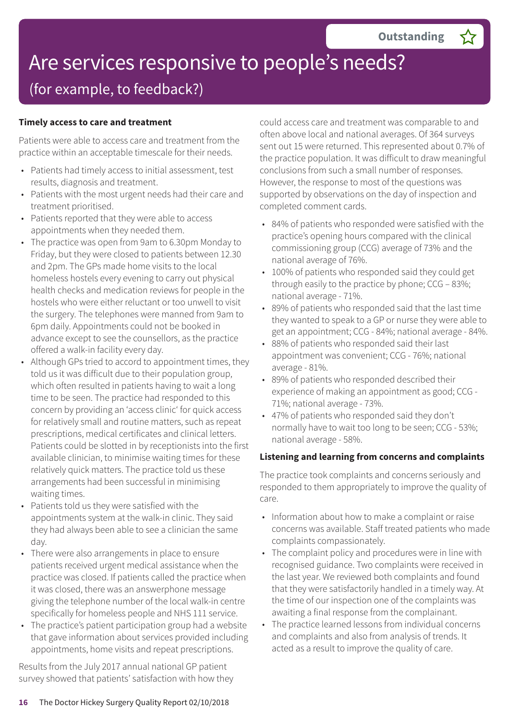## Are services responsive to people's needs? (for example, to feedback?)

## **Timely access to care and treatment**

Patients were able to access care and treatment from the practice within an acceptable timescale for their needs.

- Patients had timely access to initial assessment, test results, diagnosis and treatment.
- Patients with the most urgent needs had their care and treatment prioritised.
- Patients reported that they were able to access appointments when they needed them.
- The practice was open from 9am to 6.30pm Monday to Friday, but they were closed to patients between 12.30 and 2pm. The GPs made home visits to the local homeless hostels every evening to carry out physical health checks and medication reviews for people in the hostels who were either reluctant or too unwell to visit the surgery. The telephones were manned from 9am to 6pm daily. Appointments could not be booked in advance except to see the counsellors, as the practice offered a walk-in facility every day.
- Although GPs tried to accord to appointment times, they told us it was difficult due to their population group, which often resulted in patients having to wait a long time to be seen. The practice had responded to this concern by providing an 'access clinic' for quick access for relatively small and routine matters, such as repeat prescriptions, medical certificates and clinical letters. Patients could be slotted in by receptionists into the first available clinician, to minimise waiting times for these relatively quick matters. The practice told us these arrangements had been successful in minimising waiting times.
- Patients told us they were satisfied with the appointments system at the walk-in clinic. They said they had always been able to see a clinician the same day.
- There were also arrangements in place to ensure patients received urgent medical assistance when the practice was closed. If patients called the practice when it was closed, there was an answerphone message giving the telephone number of the local walk-in centre specifically for homeless people and NHS 111 service.
- The practice's patient participation group had a website that gave information about services provided including appointments, home visits and repeat prescriptions.

Results from the July 2017 annual national GP patient survey showed that patients' satisfaction with how they could access care and treatment was comparable to and often above local and national averages. Of 364 surveys sent out 15 were returned. This represented about 0.7% of the practice population. It was difficult to draw meaningful conclusions from such a small number of responses. However, the response to most of the questions was supported by observations on the day of inspection and completed comment cards.

- 84% of patients who responded were satisfied with the practice's opening hours compared with the clinical commissioning group (CCG) average of 73% and the national average of 76%.
- 100% of patients who responded said they could get through easily to the practice by phone; CCG – 83%; national average - 71%.
- 89% of patients who responded said that the last time they wanted to speak to a GP or nurse they were able to get an appointment; CCG - 84%; national average - 84%.
- 88% of patients who responded said their last appointment was convenient; CCG - 76%; national average - 81%.
- 89% of patients who responded described their experience of making an appointment as good; CCG - 71%; national average - 73%.
- 47% of patients who responded said they don't normally have to wait too long to be seen; CCG - 53%; national average - 58%.

#### **Listening and learning from concerns and complaints**

The practice took complaints and concerns seriously and responded to them appropriately to improve the quality of care.

- Information about how to make a complaint or raise concerns was available. Staff treated patients who made complaints compassionately.
- The complaint policy and procedures were in line with recognised guidance. Two complaints were received in the last year. We reviewed both complaints and found that they were satisfactorily handled in a timely way. At the time of our inspection one of the complaints was awaiting a final response from the complainant.
- The practice learned lessons from individual concerns and complaints and also from analysis of trends. It acted as a result to improve the quality of care.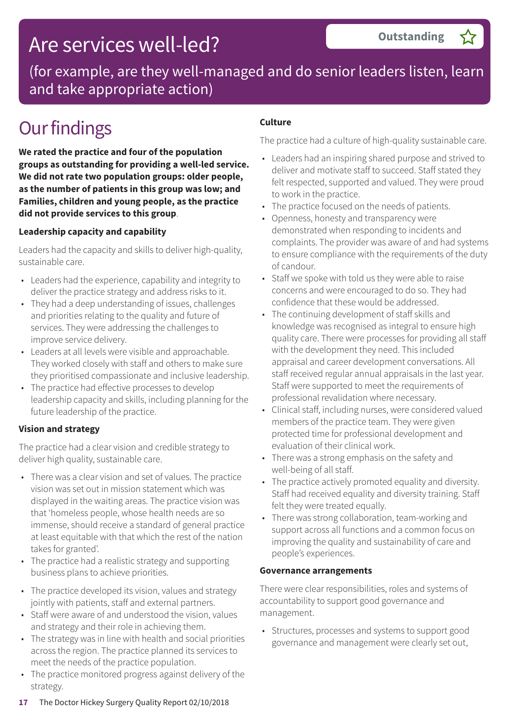# Are services well-led?

(for example, are they well-managed and do senior leaders listen, learn and take appropriate action)

# **Our findings**

**We rated the practice and four of the population groups as outstanding for providing a well-led service. We did not rate two population groups: older people, as the number of patients in this group was low; and Families, children and young people, as the practice did not provide services to this group**.

## **Leadership capacity and capability**

Leaders had the capacity and skills to deliver high-quality, sustainable care.

- Leaders had the experience, capability and integrity to deliver the practice strategy and address risks to it.
- They had a deep understanding of issues, challenges and priorities relating to the quality and future of services. They were addressing the challenges to improve service delivery.
- Leaders at all levels were visible and approachable. They worked closely with staff and others to make sure they prioritised compassionate and inclusive leadership.
- The practice had effective processes to develop leadership capacity and skills, including planning for the future leadership of the practice.

## **Vision and strategy**

The practice had a clear vision and credible strategy to deliver high quality, sustainable care.

- There was a clear vision and set of values. The practice vision was set out in mission statement which was displayed in the waiting areas. The practice vision was that 'homeless people, whose health needs are so immense, should receive a standard of general practice at least equitable with that which the rest of the nation takes for granted'.
- The practice had a realistic strategy and supporting business plans to achieve priorities.
- The practice developed its vision, values and strategy jointly with patients, staff and external partners.
- Staff were aware of and understood the vision, values and strategy and their role in achieving them.
- The strategy was in line with health and social priorities across the region. The practice planned its services to meet the needs of the practice population.
- The practice monitored progress against delivery of the strategy.

## **Culture**

The practice had a culture of high-quality sustainable care.

- Leaders had an inspiring shared purpose and strived to deliver and motivate staff to succeed. Staff stated they felt respected, supported and valued. They were proud to work in the practice.
- The practice focused on the needs of patients.
- Openness, honesty and transparency were demonstrated when responding to incidents and complaints. The provider was aware of and had systems to ensure compliance with the requirements of the duty of candour.
- Staff we spoke with told us they were able to raise concerns and were encouraged to do so. They had confidence that these would be addressed.
- The continuing development of staff skills and knowledge was recognised as integral to ensure high quality care. There were processes for providing all staff with the development they need. This included appraisal and career development conversations. All staff received regular annual appraisals in the last year. Staff were supported to meet the requirements of professional revalidation where necessary.
- Clinical staff, including nurses, were considered valued members of the practice team. They were given protected time for professional development and evaluation of their clinical work.
- There was a strong emphasis on the safety and well-being of all staff.
- The practice actively promoted equality and diversity. Staff had received equality and diversity training. Staff felt they were treated equally.
- There was strong collaboration, team-working and support across all functions and a common focus on improving the quality and sustainability of care and people's experiences.

#### **Governance arrangements**

There were clear responsibilities, roles and systems of accountability to support good governance and management.

• Structures, processes and systems to support good governance and management were clearly set out,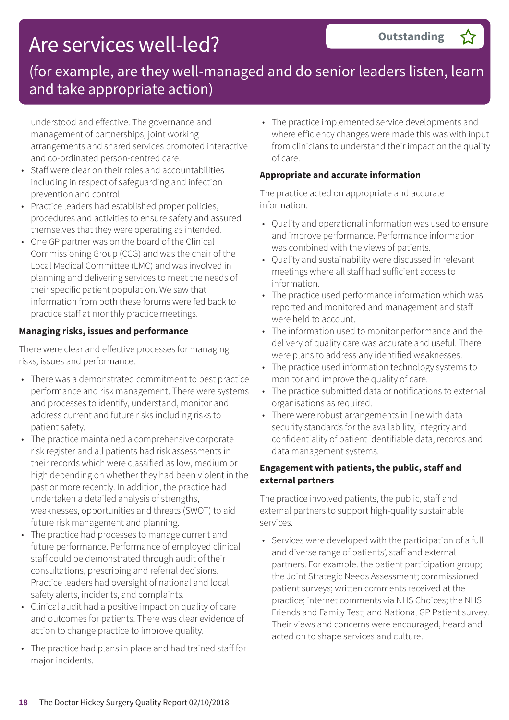# Are services well-led?

## (for example, are they well-managed and do senior leaders listen, learn and take appropriate action)

understood and effective. The governance and management of partnerships, joint working arrangements and shared services promoted interactive and co-ordinated person-centred care.

- Staff were clear on their roles and accountabilities including in respect of safeguarding and infection prevention and control.
- Practice leaders had established proper policies, procedures and activities to ensure safety and assured themselves that they were operating as intended.
- One GP partner was on the board of the Clinical Commissioning Group (CCG) and was the chair of the Local Medical Committee (LMC) and was involved in planning and delivering services to meet the needs of their specific patient population. We saw that information from both these forums were fed back to practice staff at monthly practice meetings.

## **Managing risks, issues and performance**

There were clear and effective processes for managing risks, issues and performance.

- There was a demonstrated commitment to best practice performance and risk management. There were systems and processes to identify, understand, monitor and address current and future risks including risks to patient safety.
- The practice maintained a comprehensive corporate risk register and all patients had risk assessments in their records which were classified as low, medium or high depending on whether they had been violent in the past or more recently. In addition, the practice had undertaken a detailed analysis of strengths, weaknesses, opportunities and threats (SWOT) to aid future risk management and planning.
- The practice had processes to manage current and future performance. Performance of employed clinical staff could be demonstrated through audit of their consultations, prescribing and referral decisions. Practice leaders had oversight of national and local safety alerts, incidents, and complaints.
- Clinical audit had a positive impact on quality of care and outcomes for patients. There was clear evidence of action to change practice to improve quality.
- The practice had plans in place and had trained staff for major incidents.

• The practice implemented service developments and where efficiency changes were made this was with input from clinicians to understand their impact on the quality of care.

#### **Appropriate and accurate information**

The practice acted on appropriate and accurate information.

- Quality and operational information was used to ensure and improve performance. Performance information was combined with the views of patients.
- Quality and sustainability were discussed in relevant meetings where all staff had sufficient access to information.
- The practice used performance information which was reported and monitored and management and staff were held to account.
- The information used to monitor performance and the delivery of quality care was accurate and useful. There were plans to address any identified weaknesses.
- The practice used information technology systems to monitor and improve the quality of care.
- The practice submitted data or notifications to external organisations as required.
- There were robust arrangements in line with data security standards for the availability, integrity and confidentiality of patient identifiable data, records and data management systems.

### **Engagement with patients, the public, staff and external partners**

The practice involved patients, the public, staff and external partners to support high-quality sustainable services.

• Services were developed with the participation of a full and diverse range of patients', staff and external partners. For example. the patient participation group; the Joint Strategic Needs Assessment; commissioned patient surveys; written comments received at the practice; internet comments via NHS Choices; the NHS Friends and Family Test; and National GP Patient survey. Their views and concerns were encouraged, heard and acted on to shape services and culture.